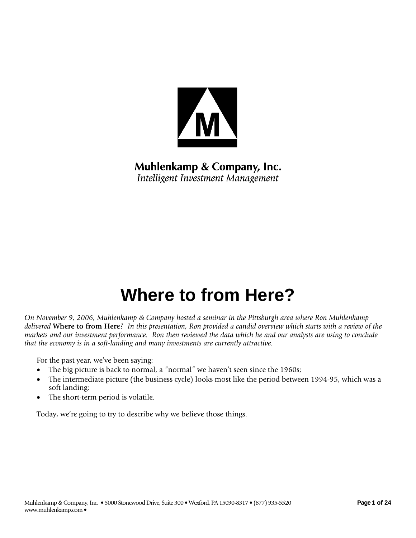

**Muhlenkamp & Company, Inc.** Intelligent Investment Management

# **Where to from Here?**

*On November 9, 2006, Muhlenkamp & Company hosted a seminar in the Pittsburgh area where Ron Muhlenkamp delivered* **Where to from Here***? In this presentation, Ron provided a candid overview which starts with a review of the markets and our investment performance. Ron then reviewed the data which he and our analysts are using to conclude that the economy is in a soft-landing and many investments are currently attractive.* 

For the past year, we've been saying:

- The big picture is back to normal, a "normal" we haven't seen since the 1960s;
- The intermediate picture (the business cycle) looks most like the period between 1994-95, which was a soft landing;
- The short-term period is volatile.

Today, we're going to try to describe why we believe those things.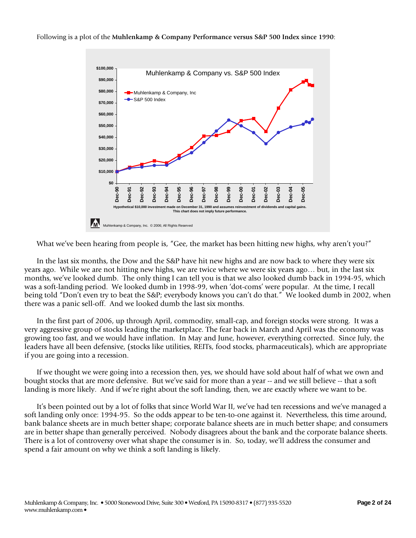

What we've been hearing from people is, "Gee, the market has been hitting new highs, why aren't you?"

 In the last six months, the Dow and the S&P have hit new highs and are now back to where they were six years ago. While we are not hitting new highs, we are twice where we were six years ago… but, in the last six months, we've looked dumb. The only thing I can tell you is that we also looked dumb back in 1994-95, which was a soft-landing period. We looked dumb in 1998-99, when 'dot-coms' were popular. At the time, I recall being told "Don't even try to beat the S&P; everybody knows you can't do that." We looked dumb in 2002, when there was a panic sell-off. And we looked dumb the last six months.

 In the first part of 2006, up through April, commodity, small-cap, and foreign stocks were strong. It was a very aggressive group of stocks leading the marketplace. The fear back in March and April was the economy was growing too fast, and we would have inflation. In May and June, however, everything corrected. Since July, the leaders have all been defensive, (stocks like utilities, REITs, food stocks, pharmaceuticals), which are appropriate if you are going into a recession.

 If we thought we were going into a recession then, yes, we should have sold about half of what we own and bought stocks that are more defensive. But we've said for more than a year -- and we still believe -- that a soft landing is more likely. And if we're right about the soft landing, then, we are exactly where we want to be.

 It's been pointed out by a lot of folks that since World War II, we've had ten recessions and we've managed a soft landing only once: 1994-95. So the odds appear to be ten-to-one against it. Nevertheless, this time around, bank balance sheets are in much better shape; corporate balance sheets are in much better shape; and consumers are in better shape than generally perceived. Nobody disagrees about the bank and the corporate balance sheets. There is a lot of controversy over what shape the consumer is in. So, today, we'll address the consumer and spend a fair amount on why we think a soft landing is likely.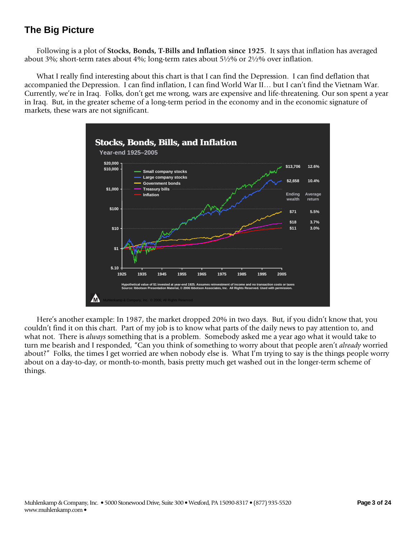# **The Big Picture**

 Following is a plot of **Stocks, Bonds, T-Bills and Inflation since 1925**. It says that inflation has averaged about 3%; short-term rates about 4%; long-term rates about 5½% or 2½% over inflation.

 What I really find interesting about this chart is that I can find the Depression. I can find deflation that accompanied the Depression. I can find inflation, I can find World War II… but I can't find the Vietnam War. Currently, we're in Iraq. Folks, don't get me wrong, wars are expensive and life-threatening. Our son spent a year in Iraq. But, in the greater scheme of a long-term period in the economy and in the economic signature of markets, these wars are not significant.



 Here's another example: In 1987, the market dropped 20% in two days. But, if you didn't know that, you couldn't find it on this chart. Part of my job is to know what parts of the daily news to pay attention to, and what not. There is *always* something that is a problem. Somebody asked me a year ago what it would take to turn me bearish and I responded, "Can you think of something to worry about that people aren't *already* worried about?" Folks, the times I get worried are when nobody else is. What I'm trying to say is the things people worry about on a day-to-day, or month-to-month, basis pretty much get washed out in the longer-term scheme of things.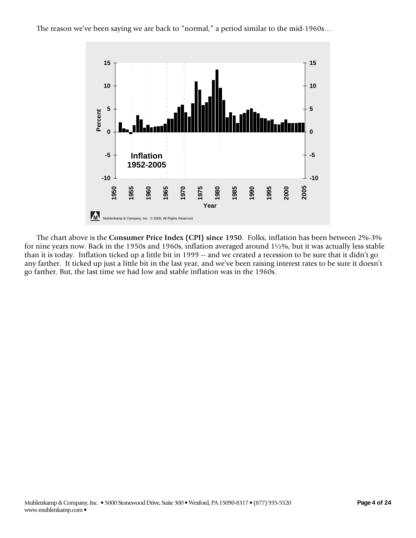

 The chart above is the **Consumer Price Index (CPI) since 1950**. Folks, inflation has been between 2%-3% for nine years now. Back in the 1950s and 1960s, inflation averaged around 1½%, but it was actually less stable than it is today. Inflation ticked up a little bit in 1999 -- and we created a recession to be sure that it didn't go any farther. It ticked up just a little bit in the last year, and we've been raising interest rates to be sure it doesn't go farther. But, the last time we had low and stable inflation was in the 1960s.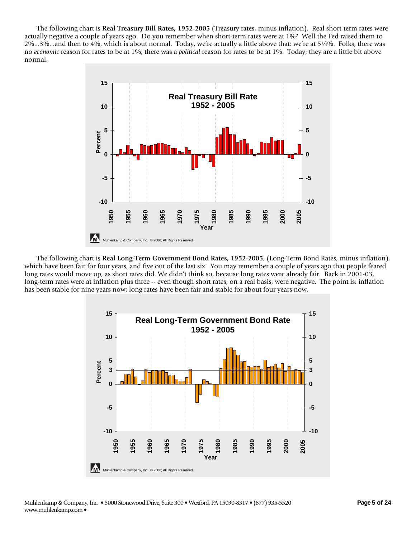The following chart is **Real Treasury Bill Rates, 1952-2005** (Treasury rates, minus inflation). Real short-term rates were actually negative a couple of years ago. Do you remember when short-term rates were at 1%? Well the Fed raised them to 2%...3%...and then to 4%, which is about normal. Today, we're actually a little above that: we're at 5¼%. Folks, there was no *economic* reason for rates to be at 1%; there was a *political* reason for rates to be at 1%. Today, they are a little bit above normal.



 The following chart is **Real Long-Term Government Bond Rates, 1952-2005**, (Long-Term Bond Rates, minus inflation), which have been fair for four years, and five out of the last six. You may remember a couple of years ago that people feared long rates would move up, as short rates did. We didn't think so, because long rates were already fair. Back in 2001-03, long-term rates were at inflation plus three -- even though short rates, on a real basis, were negative. The point is: inflation has been stable for nine years now; long rates have been fair and stable for about four years now.

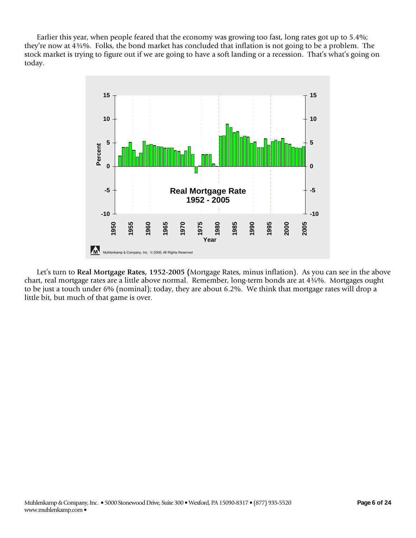Earlier this year, when people feared that the economy was growing too fast, long rates got up to 5.4%; they're now at 4¾%. Folks, the bond market has concluded that inflation is not going to be a problem. The stock market is trying to figure out if we are going to have a soft landing or a recession. That's what's going on today.



 Let's turn to **Real Mortgage Rates, 1952-2005 (**Mortgage Rates, minus inflation). As you can see in the above chart, real mortgage rates are a little above normal. Remember, long-term bonds are at 4¾%. Mortgages ought to be just a touch under 6% (nominal); today, they are about 6.2%. We think that mortgage rates will drop a little bit, but much of that game is over.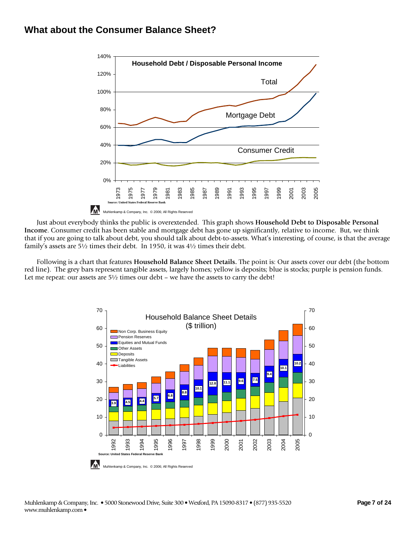#### **What about the Consumer Balance Sheet?**



Just about everybody thinks the public is overextended. This graph shows **Household Debt to Disposable Personal Income**. Consumer credit has been stable and mortgage debt has gone up significantly, relative to income. But, we think that if you are going to talk about debt, you should talk about debt-to-assets. What's interesting, of course, is that the average family's assets are 5½ times their debt. In 1950, it was 4½ times their debt.

 Following is a chart that features **Household Balance Sheet Details.** The point is: Our assets cover our debt (the bottom red line). The grey bars represent tangible assets, largely homes; yellow is deposits; blue is stocks; purple is pension funds. Let me repeat: our assets are  $5\frac{1}{2}$  times our debt – we have the assets to carry the debt!

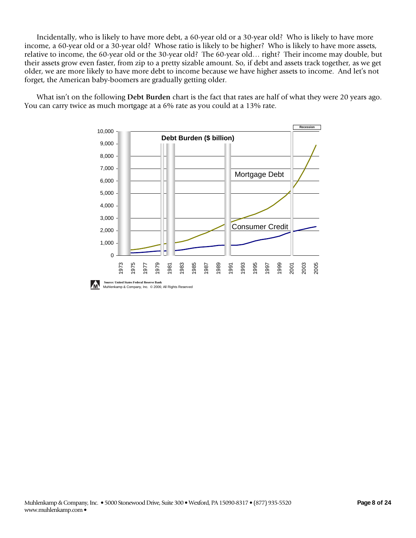Incidentally, who is likely to have more debt, a 60-year old or a 30-year old? Who is likely to have more income, a 60-year old or a 30-year old? Whose ratio is likely to be higher? Who is likely to have more assets, relative to income, the 60-year old or the 30-year old? The 60-year old… right? Their income may double, but their assets grow even faster, from zip to a pretty sizable amount. So, if debt and assets track together, as we get older, we are more likely to have more debt to income because we have higher assets to income. And let's not forget, the American baby-boomers are gradually getting older.

 What isn't on the following **Debt Burden** chart is the fact that rates are half of what they were 20 years ago. You can carry twice as much mortgage at a 6% rate as you could at a 13% rate.

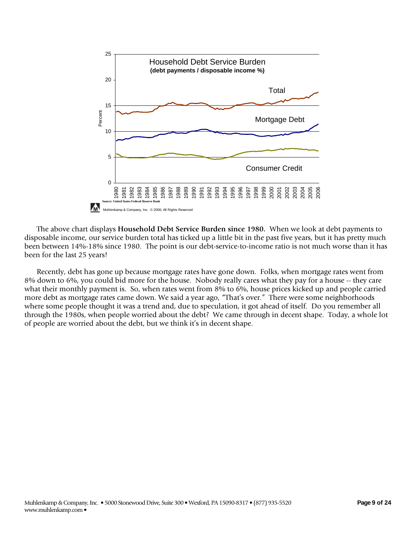

 The above chart displays **Household Debt Service Burden since 1980.** When we look at debt payments to disposable income, our service burden total has ticked up a little bit in the past five years, but it has pretty much been between 14%-18% since 1980. The point is our debt-service-to-income ratio is not much worse than it has been for the last 25 years!

 Recently, debt has gone up because mortgage rates have gone down. Folks, when mortgage rates went from 8% down to 6%, you could bid more for the house. Nobody really cares what they pay for a house -- they care what their monthly payment is. So, when rates went from 8% to 6%, house prices kicked up and people carried more debt as mortgage rates came down. We said a year ago, "That's over." There were some neighborhoods where some people thought it was a trend and, due to speculation, it got ahead of itself. Do you remember all through the 1980s, when people worried about the debt? We came through in decent shape. Today, a whole lot of people are worried about the debt, but we think it's in decent shape.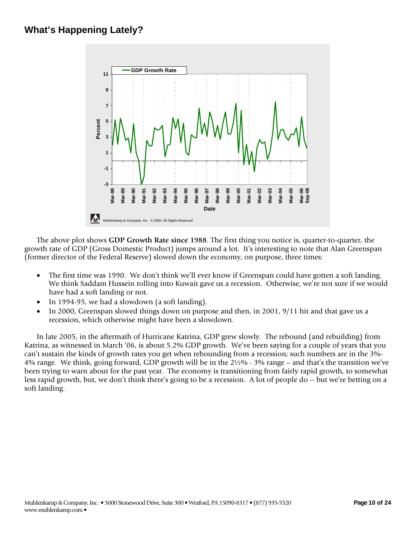

 The above plot shows **GDP Growth Rate since 1988**. The first thing you notice is, quarter-to-quarter, the growth rate of GDP (Gross Domestic Product) jumps around a lot. It's interesting to note that Alan Greenspan (former director of the Federal Reserve) slowed down the economy, on purpose, three times:

- The first time was 1990. We don't think we'll ever know if Greenspan could have gotten a soft landing. We think Saddam Hussein rolling into Kuwait gave us a recession. Otherwise, we're not sure if we would have had a soft landing or not.
- In 1994-95, we had a slowdown (a soft landing).
- In 2000, Greenspan slowed things down on purpose and then, in 2001, 9/11 hit and that gave us a recession, which otherwise might have been a slowdown.

 In late 2005, in the aftermath of Hurricane Katrina, GDP grew slowly. The rebound (and rebuilding) from Katrina, as witnessed in March '06, is about 5.2% GDP growth. We've been saying for a couple of years that you can't sustain the kinds of growth rates you get when rebounding from a recession; such numbers are in the 3%- 4% range. We think, going forward, GDP growth will be in the 2½% - 3% range – and that's the transition we've been trying to warn about for the past year. The economy is transitioning from fairly rapid growth, to somewhat less rapid growth, but, we don't think there's going to be a recession. A lot of people do -- but we're betting on a soft landing.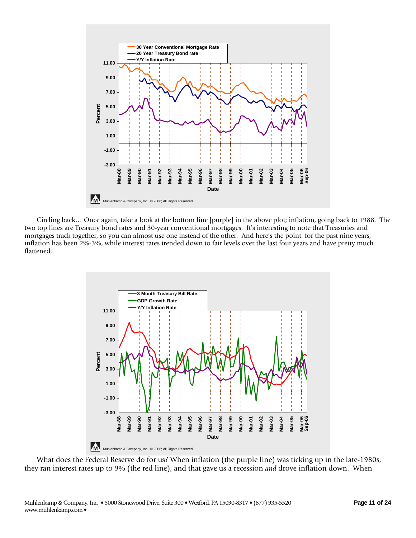

Circling back… Once again, take a look at the bottom line [purple] in the above plot; inflation, going back to 1988. The two top lines are Treasury bond rates and 30-year conventional mortgages. It's interesting to note that Treasuries and mortgages track together, so you can almost use one instead of the other. And here's the point: for the past nine years, inflation has been 2%-3%, while interest rates trended down to fair levels over the last four years and have pretty much flattened.



 What does the Federal Reserve do for us? When inflation (the purple line) was ticking up in the late-1980s, they ran interest rates up to 9% (the red line), and that gave us a recession *and* drove inflation down. When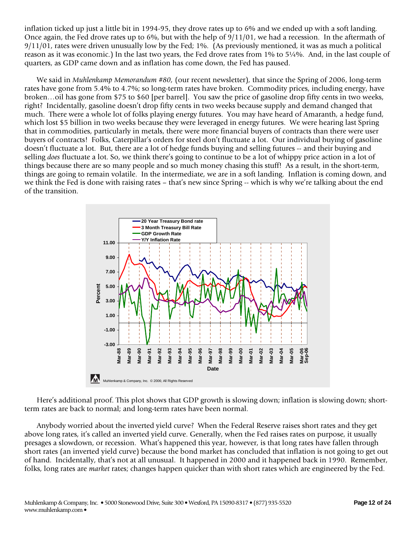inflation ticked up just a little bit in 1994-95, they drove rates up to 6% and we ended up with a soft landing. Once again, the Fed drove rates up to 6%, but with the help of 9/11/01, we had a recession. In the aftermath of 9/11/01, rates were driven unusually low by the Fed; 1%. (As previously mentioned, it was as much a political reason as it was economic.) In the last two years, the Fed drove rates from 1% to 5¼%. And, in the last couple of quarters, as GDP came down and as inflation has come down, the Fed has paused.

 We said in *Muhlenkamp Memorandum #80,* (our recent newsletter)*,* that since the Spring of 2006, long-term rates have gone from 5.4% to 4.7%; so long-term rates have broken. Commodity prices, including energy, have broken…oil has gone from \$75 to \$60 [per barrel]. You saw the price of gasoline drop fifty cents in two weeks, right? Incidentally, gasoline doesn't drop fifty cents in two weeks because supply and demand changed that much. There were a whole lot of folks playing energy futures. You may have heard of Amaranth, a hedge fund, which lost \$5 billion in two weeks because they were leveraged in energy futures. We were hearing last Spring that in commodities, particularly in metals, there were more financial buyers of contracts than there were user buyers of contracts! Folks, Caterpillar's orders for steel don't fluctuate a lot. Our individual buying of gasoline doesn't fluctuate a lot. But, there are a lot of hedge funds buying and selling futures -- and their buying and selling *does* fluctuate a lot. So, we think there's going to continue to be a lot of whippy price action in a lot of things because there are so many people and so much money chasing this stuff! As a result, in the short-term, things are going to remain volatile. In the intermediate, we are in a soft landing. Inflation is coming down, and we think the Fed is done with raising rates – that's new since Spring -- which is why we're talking about the end of the transition.



 Here's additional proof. This plot shows that GDP growth is slowing down; inflation is slowing down; shortterm rates are back to normal; and long-term rates have been normal.

 Anybody worried about the inverted yield curve? When the Federal Reserve raises short rates and they get above long rates, it's called an inverted yield curve. Generally, when the Fed raises rates on purpose, it usually presages a slowdown, or recession. What's happened this year, however, is that long rates have fallen through short rates (an inverted yield curve) because the bond market has concluded that inflation is not going to get out of hand. Incidentally, that's not at all unusual. It happened in 2000 and it happened back in 1990. Remember, folks, long rates are *market* rates; changes happen quicker than with short rates which are engineered by the Fed.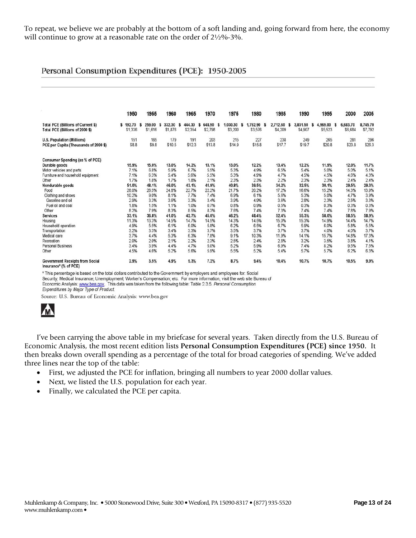To repeat, we believe we are probably at the bottom of a soft landing and, going forward from here, the economy will continue to grow at a reasonable rate on the order of 2½%-3%.

#### Personal Consumption Expenditures (PCE): 1950-2005

|                                                                              | 1950                | 1955                   | 1960                   | 1965                   | 1970                   | 1975                      | 1980                    | 1985                     | 1990                     | 1995                          | 2000                | 2005                |
|------------------------------------------------------------------------------|---------------------|------------------------|------------------------|------------------------|------------------------|---------------------------|-------------------------|--------------------------|--------------------------|-------------------------------|---------------------|---------------------|
| <b>Total PCE (Billions of Current \$)</b><br>Total PCE (Billions of 2000 \$) | \$192.70<br>\$1,336 | 259.00<br>s<br>\$1,616 | 332.30<br>s<br>\$1,876 | 444.30<br>s<br>\$2,354 | 648.90<br>s<br>\$2,798 | 1.030.30<br>-S<br>\$3,200 | .762.90<br>s<br>\$3,576 | 2,712.60<br>s<br>\$4,209 | 3,831.50<br>s<br>\$4,907 | 4.969.00<br>s<br>s<br>\$5,523 | 6,683.70<br>\$6,684 | 8,745.70<br>\$7,792 |
| <b>U.S. Population (Millions)</b>                                            | 151                 | 165                    | 179                    | 191                    | 203                    | 215                       | 227                     | 238                      | 249                      | 265                           | 281                 | 296                 |
| PCE per Capita (Thousands of 2000 \$)                                        | \$8.8               | \$9.8                  | \$10.5                 | \$12.3                 | \$13.8                 | \$14.9                    | \$15.8                  | \$17.7                   | \$19.7                   | \$20.8                        | \$23.8              | \$26.3              |
| Consumer Spending (as % of PCE)                                              |                     |                        |                        |                        |                        |                           |                         |                          |                          |                               |                     |                     |
| Durable goods                                                                | 15.9%               | 15.0%                  | 13.0%                  | 14.2%                  | 13.1%                  | 13.0%                     | 12.2%                   | 13.4%                    | 12.2%                    | 11.9%                         | 12.0%               | 11.7%               |
| Motor vehicles and parts                                                     | 7.1%                | 6.8%                   | 5.9%                   | 6.7%                   | 5.5%                   | 5.3%                      | 4.9%                    | 6.5%                     | 5.4%                     | 5.0%                          | 5.0%                | 5.1%                |
| Furniture and household equipment                                            | 7.1%                | 6.3%                   | 5.4%                   | 5.6%                   | 5.5%                   | 5.3%                      | 4.9%                    | 4.7%                     | 4.5%                     | 4.5%                          | 4.6%                | 4.3%                |
| Other                                                                        | 1.7%                | 1.8%                   | 1.7%                   | 1.8%                   | 2.1%                   | 2.3%                      | 2.3%                    | 2.2%                     | 2.3%                     | 2.3%                          | 2.4%                | 2.4%                |
| Nondurable goods                                                             | 51.0%               | 48.1%                  | 46.0%                  | 43.1%                  | 41.9%                  | 40.8%                     | 39.5%                   | 34.2%                    | 32.5%                    | 30.1%                         | 29.5%               | 29.3%               |
| Food                                                                         | 28.0%               | 26.5%                  | 24.8%                  | 22.7%                  | 22.2%                  | 21.7%                     | 20.2%                   | 17.2%                    | 16.6%                    | 15.2%                         | 14.3%               | 13.9%               |
| Clothing and shoes                                                           | 10.2%               | 9.0%                   | 8.1%                   | 7.7%                   | 7.4%                   | 6.9%                      | 6.1%                    | 5.6%                     | 5.3%                     | 5.0%                          | 4.7%                | 3.9%                |
| Gasoline and oil                                                             | 2.9%                | 3.3%                   | 3.6%                   | 3.3%                   | 3.4%                   | 3.9%                      | 4.9%                    | 3.6%                     | 2.8%                     | 2.3%                          | 2.5%                | 3.3%                |
| Fuel oil and coal                                                            | 1.8%                | 1.5%                   | 1.1%                   | 1.0%                   | 0.7%                   | 0.8%                      | 0.9%                    | 0.5%                     | 0.3%                     | 0.3%                          | 0.3%                | 0.3%                |
| Other                                                                        | 8.2%                | 7.9%                   | 8.3%                   | 8.5%                   | 8.3%                   | 7.6%                      | 7.4%                    | 7.3%                     | 7.4%                     | 7.4%                          | 7.8%                | 7.9%                |
| <b>Services</b>                                                              | 33.1%               | 36.8%                  | 41.0%                  | 42.7%                  | 45.0%                  | 46.2%                     | 48.4%                   | 52.4%                    | 55.3%                    | 58.0%                         | 58.5%               | 58.9%               |
| Housing                                                                      | 11.3%               | 13.3%                  | 14.5%                  | 14.7%                  | 14.5%                  | 14.3%                     | 14.5%                   | 15.0%                    | 15.3%                    | 14.9%                         | 14.4%               | 14.7%               |
| Household operation                                                          | 4.9%                | 5.5%                   | 6.1%                   | 6.0%                   | 5.8%                   | 6.2%                      | 6.5%                    | 6.7%                     | 5.9%                     | 6.0%                          | 5.8%                | 5.5%                |
| Transportation                                                               | 3.2%                | 3.3%                   | 3.4%                   | 3.3%                   | 3.7%                   | 3.5%                      | 3.7%                    | 3.7%                     | 3.7%                     | 4.0%                          | 4.0%                | 3.7%                |
| Medical care                                                                 | 3.7%                | 4.4%                   | 5.3%                   | 6.3%                   | 7.8%                   | 9.1%                      | 10.3%                   | 11.9%                    | 14.1%                    | 15.7%                         | 14.8%               | 17.3%               |
| Recreation                                                                   | 2.0%                | 2.0%                   | 2.1%                   | 2.2%                   | 2.3%                   | 2.5%                      | 2.4%                    | 2.8%                     | 3.2%                     | 3.5%                          | 3.8%                | 4.1%                |
| <b>Personal Business</b>                                                     | 3.4%                | 3.9%                   | 4.4%                   | 4.7%                   | 5.0%                   | 5.2%                      | 5.9%                    | 6.9%                     | 7.4%                     | 8.2%                          | 9.5%                | 7.5%                |
| Other                                                                        | 4.5%                | 4.6%                   | 5.2%                   | 5.6%                   | 5.9%                   | 5.5%                      | 5.2%                    | 5.4%                     | 5.7%                     | 5.7%                          | 6.2%                | 6.3%                |
| <b>Government Receipts from Social</b><br>Insurance* (% of PCE)              | 2.9%                | 3.5%                   | 4.9%                   | 5.3%                   | 7.2%                   | 8.7%                      | 9.4%                    | 10.4%                    | 10.7%                    | 10.7%                         | 10.5%               | 9.9%                |

\* This percentage is based on the total dollars contributed to the Government by employers and employees for: Social

Security; Medical Insurance; Unemployment; Worker's Compensation; etc. For more information, visit the web site Bureau of

Economic Analysis: www.bea.gov. This data was taken from the following table: Table 2.3.5. Personal Consumption

Expenditures by Major Type of Product.

Source: U.S. Bureau of Economic Analysis: www.bea.gov



 I've been carrying the above table in my briefcase for several years. Taken directly from the U.S. Bureau of Economic Analysis, the most recent edition lists **Personal Consumption Expenditures (PCE) since 1950.** It then breaks down overall spending as a percentage of the total for broad categories of spending. We've added three lines near the top of the table:

- First, we adjusted the PCE for inflation, bringing all numbers to year 2000 dollar values.
- Next, we listed the U.S. population for each year.
- Finally, we calculated the PCE per capita.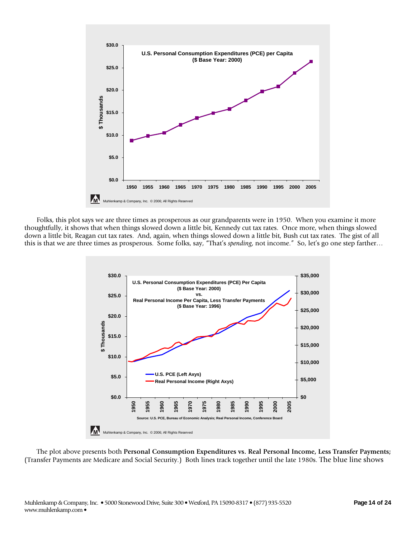

Folks, this plot says we are three times as prosperous as our grandparents were in 1950. When you examine it more thoughtfully, it shows that when things slowed down a little bit, Kennedy cut tax rates. Once more, when things slowed down a little bit, Reagan cut tax rates. And, again, when things slowed down a little bit, Bush cut tax rates. The gist of all this is that we are three times as prosperous. Some folks, say, "That's *spending*, not income." So, let's go one step farther…



The plot above presents both **Personal Consumption Expenditures vs. Real Personal Income, Less Transfer Payments;**  (Transfer Payments are Medicare and Social Security.) Both lines track together until the late 1980s. The blue line shows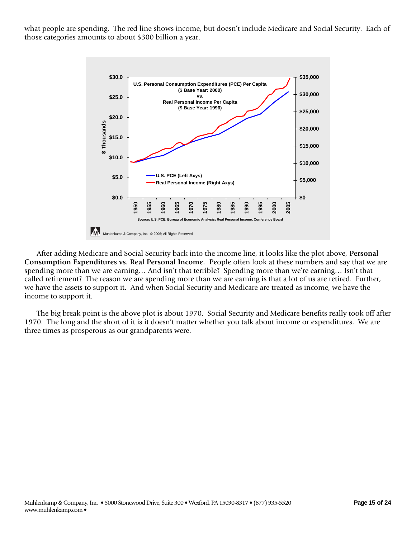what people are spending. The red line shows income, but doesn't include Medicare and Social Security. Each of those categories amounts to about \$300 billion a year.



 After adding Medicare and Social Security back into the income line, it looks like the plot above, **Personal Consumption Expenditures vs. Real Personal Income.** People often look at these numbers and say that we are spending more than we are earning… And isn't that terrible? Spending more than we're earning… Isn't that called retirement? The reason we are spending more than we are earning is that a lot of us are retired. Further, we have the assets to support it. And when Social Security and Medicare are treated as income, we have the income to support it.

 The big break point is the above plot is about 1970. Social Security and Medicare benefits really took off after 1970. The long and the short of it is it doesn't matter whether you talk about income or expenditures. We are three times as prosperous as our grandparents were.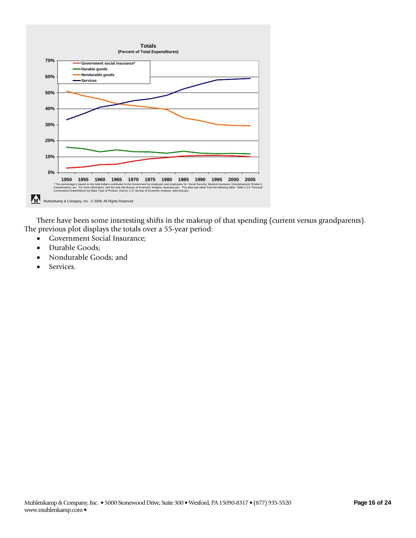

 There have been some interesting shifts in the makeup of that spending (current versus grandparents). The previous plot displays the totals over a 55-year period:

- Government Social Insurance;
- Durable Goods;
- Nondurable Goods; and
- Services.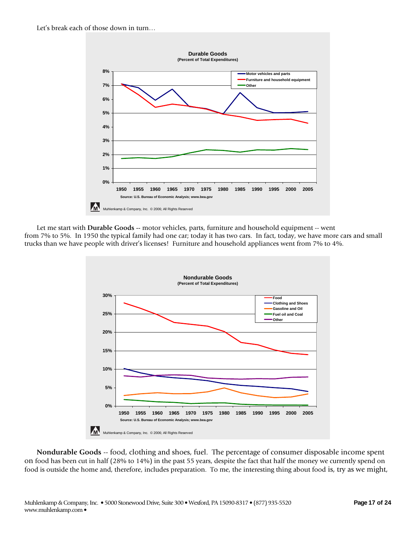

Let me start with **Durable Goods --** motor vehicles, parts, furniture and household equipment -- went from 7% to 5%. In 1950 the typical family had one car; today it has two cars. In fact, today, we have more cars and small trucks than we have people with driver's licenses! Furniture and household appliances went from 7% to 4%.



 **Nondurable Goods** -- food, clothing and shoes, fuel. The percentage of consumer disposable income spent on food has been cut in half (28% to 14%) in the past 55 years, despite the fact that half the money we currently spend on food is outside the home and, therefore, includes preparation. To me, the interesting thing about food is, try as we might,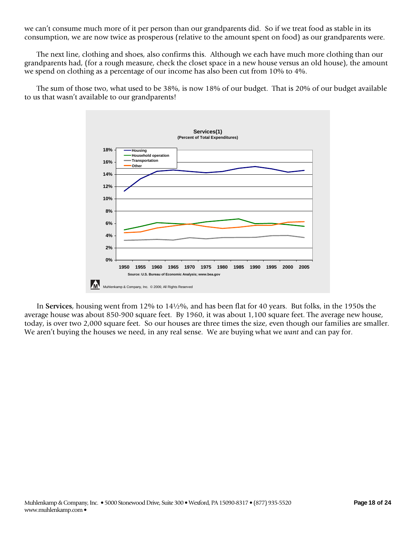we can't consume much more of it per person than our grandparents did. So if we treat food as stable in its consumption, we are now twice as prosperous (relative to the amount spent on food) as our grandparents were.

 The next line, clothing and shoes, also confirms this. Although we each have much more clothing than our grandparents had, (for a rough measure, check the closet space in a new house versus an old house), the amount we spend on clothing as a percentage of our income has also been cut from 10% to 4%.

 The sum of those two, what used to be 38%, is now 18% of our budget. That is 20% of our budget available to us that wasn't available to our grandparents!



 In **Services**, housing went from 12% to 14½%, and has been flat for 40 years. But folks, in the 1950s the average house was about 850-900 square feet. By 1960, it was about 1,100 square feet. The average new house, today, is over two 2,000 square feet. So our houses are three times the size, even though our families are smaller. We aren't buying the houses we need, in any real sense. We are buying what we *want* and can pay for.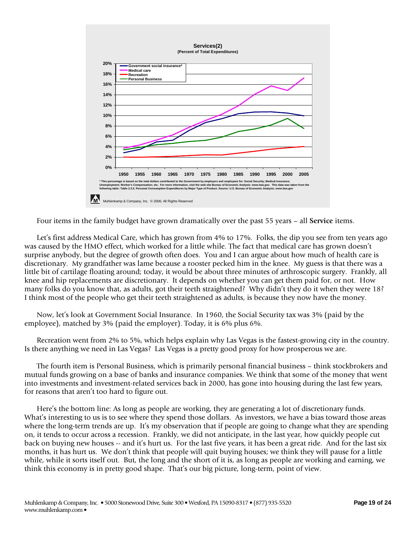

Four items in the family budget have grown dramatically over the past 55 years – all **Service** items.

 Let's first address Medical Care, which has grown from 4% to 17%. Folks, the dip you see from ten years ago was caused by the HMO effect, which worked for a little while. The fact that medical care has grown doesn't surprise anybody, but the degree of growth often does. You and I can argue about how much of health care is discretionary. My grandfather was lame because a rooster pecked him in the knee. My guess is that there was a little bit of cartilage floating around; today, it would be about three minutes of arthroscopic surgery. Frankly, all knee and hip replacements are discretionary. It depends on whether you can get them paid for, or not. How many folks do you know that, as adults, got their teeth straightened? Why didn't they do it when they were 18? I think most of the people who get their teeth straightened as adults, is because they now have the money.

 Now, let's look at Government Social Insurance. In 1960, the Social Security tax was 3% (paid by the employee), matched by 3% (paid the employer). Today, it is 6% plus 6%.

 Recreation went from 2% to 5%, which helps explain why Las Vegas is the fastest-growing city in the country. Is there anything we need in Las Vegas? Las Vegas is a pretty good proxy for how prosperous we are.

 The fourth item is Personal Business, which is primarily personal financial business – think stockbrokers and mutual funds growing on a base of banks and insurance companies. We think that some of the money that went into investments and investment-related services back in 2000, has gone into housing during the last few years, for reasons that aren't too hard to figure out.

 Here's the bottom line: As long as people are working, they are generating a lot of discretionary funds. What's interesting to us is to see where they spend those dollars. As investors, we have a bias toward those areas where the long-term trends are up. It's my observation that if people are going to change what they are spending on, it tends to occur across a recession. Frankly, we did not anticipate, in the last year, how quickly people cut back on buying new houses -- and it's hurt us. For the last five years, it has been a great ride. And for the last six months, it has hurt us. We don't think that people will quit buying houses; we think they will pause for a little while, while it sorts itself out. But, the long and the short of it is, as long as people are working and earning, we think this economy is in pretty good shape. That's our big picture, long-term, point of view.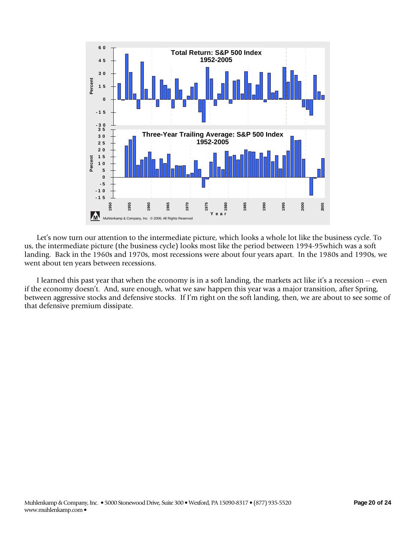

 Let's now turn our attention to the intermediate picture, which looks a whole lot like the business cycle. To us, the intermediate picture (the business cycle) looks most like the period between 1994-95which was a soft landing. Back in the 1960s and 1970s, most recessions were about four years apart. In the 1980s and 1990s, we went about ten years between recessions.

 I learned this past year that when the economy is in a soft landing, the markets act like it's a recession -- even if the economy doesn't. And, sure enough, what we saw happen this year was a major transition, after Spring, between aggressive stocks and defensive stocks. If I'm right on the soft landing, then, we are about to see some of that defensive premium dissipate.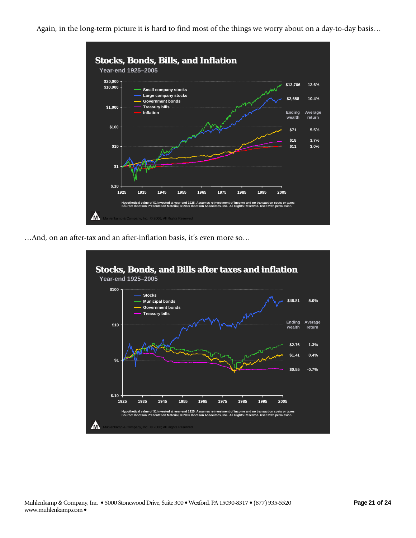Again, in the long-term picture it is hard to find most of the things we worry about on a day-to-day basis…



…And, on an after-tax and an after-inflation basis, it's even more so…

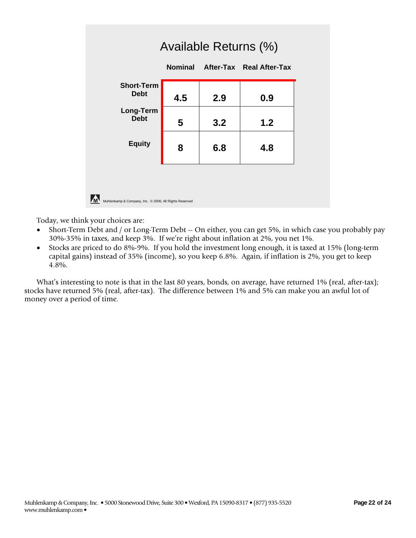|                                                              | Available Returns (%) |     |                          |  |  |  |  |  |
|--------------------------------------------------------------|-----------------------|-----|--------------------------|--|--|--|--|--|
|                                                              | <b>Nominal</b>        |     | After-Tax Real After-Tax |  |  |  |  |  |
| <b>Short-Term</b><br><b>Debt</b>                             | 4.5                   | 2.9 | 0.9                      |  |  |  |  |  |
| Long-Term<br><b>Debt</b>                                     | 5                     | 3.2 | 1.2                      |  |  |  |  |  |
| <b>Equity</b>                                                | 8                     | 6.8 | 4.8                      |  |  |  |  |  |
|                                                              |                       |     |                          |  |  |  |  |  |
| rΝ<br>Muhlenkamp & Company, Inc. © 2006; All Rights Reserved |                       |     |                          |  |  |  |  |  |

Today, we think your choices are:

- Short-Term Debt and / or Long-Term Debt -- On either, you can get 5%, in which case you probably pay 30%-35% in taxes, and keep 3%. If we're right about inflation at 2%, you net 1%.
- Stocks are priced to do 8%-9%. If you hold the investment long enough, it is taxed at 15% (long-term capital gains) instead of 35% (income), so you keep 6.8%. Again, if inflation is 2%, you get to keep 4.8%.

 What's interesting to note is that in the last 80 years, bonds, on average, have returned 1% (real, after-tax); stocks have returned 5% (real, after-tax). The difference between 1% and 5% can make you an awful lot of money over a period of time.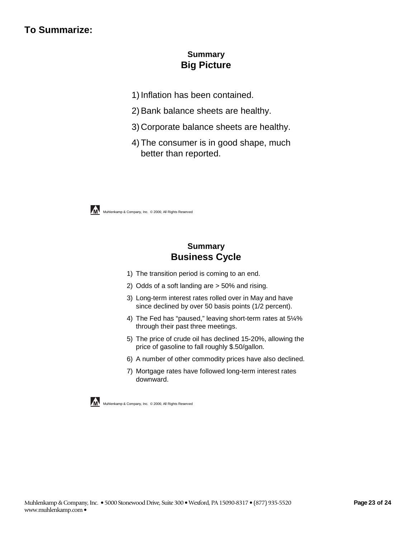### **To Summarize:**

## **Summary Big Picture**

- 1) Inflation has been contained.
- 2) Bank balance sheets are healthy.
- 3) Corporate balance sheets are healthy.
- 4) The consumer is in good shape, much better than reported.



Muhlenkamp & Company, Inc. @ 2006; All Rights Reserved

### **Summary Business Cycle**

- 1) The transition period is coming to an end.
- 2) Odds of a soft landing are > 50% and rising.
- 3) Long-term interest rates rolled over in May and have since declined by over 50 basis points (1/2 percent).
- 4) The Fed has "paused," leaving short-term rates at 5¼% through their past three meetings.
- 5) The price of crude oil has declined 15-20%, allowing the price of gasoline to fall roughly \$.50/gallon.
- 6) A number of other commodity prices have also declined.
- 7) Mortgage rates have followed long-term interest rates downward.